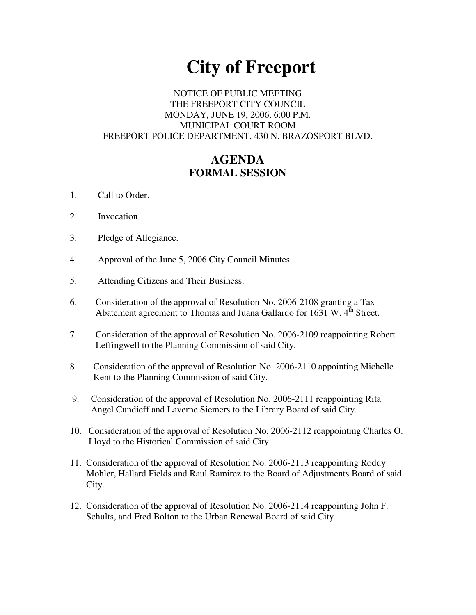# **City of Freeport**

#### NOTICE OF PUBLIC MEETING THE FREEPORT CITY COUNCIL MONDAY, JUNE 19, 2006, 6:00 P.M. MUNICIPAL COURT ROOM FREEPORT POLICE DEPARTMENT, 430 N. BRAZOSPORT BLVD.

## **AGENDA FORMAL SESSION**

- 1. Call to Order.
- 2. Invocation.
- 3. Pledge of Allegiance.
- 4. Approval of the June 5, 2006 City Council Minutes.
- 5. Attending Citizens and Their Business.
- 6. Consideration of the approval of Resolution No. 2006-2108 granting a Tax Abatement agreement to Thomas and Juana Gallardo for 1631 W.  $4^{\text{th}}$  Street.
- 7. Consideration of the approval of Resolution No. 2006-2109 reappointing Robert Leffingwell to the Planning Commission of said City.
- 8. Consideration of the approval of Resolution No. 2006-2110 appointing Michelle Kent to the Planning Commission of said City.
- 9. Consideration of the approval of Resolution No. 2006-2111 reappointing Rita Angel Cundieff and Laverne Siemers to the Library Board of said City.
- 10. Consideration of the approval of Resolution No. 2006-2112 reappointing Charles O. Lloyd to the Historical Commission of said City.
- 11. Consideration of the approval of Resolution No. 2006-2113 reappointing Roddy Mohler, Hallard Fields and Raul Ramirez to the Board of Adjustments Board of said City.
- 12. Consideration of the approval of Resolution No. 2006-2114 reappointing John F. Schults, and Fred Bolton to the Urban Renewal Board of said City.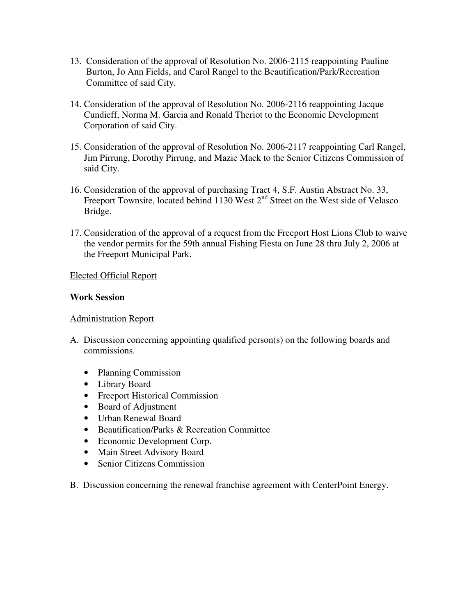- 13. Consideration of the approval of Resolution No. 2006-2115 reappointing Pauline Burton, Jo Ann Fields, and Carol Rangel to the Beautification/Park/Recreation Committee of said City.
- 14. Consideration of the approval of Resolution No. 2006-2116 reappointing Jacque Cundieff, Norma M. Garcia and Ronald Theriot to the Economic Development Corporation of said City.
- 15. Consideration of the approval of Resolution No. 2006-2117 reappointing Carl Rangel, Jim Pirrung, Dorothy Pirrung, and Mazie Mack to the Senior Citizens Commission of said City.
- 16. Consideration of the approval of purchasing Tract 4, S.F. Austin Abstract No. 33, Freeport Townsite, located behind 1130 West 2<sup>nd</sup> Street on the West side of Velasco Bridge.
- 17. Consideration of the approval of a request from the Freeport Host Lions Club to waive the vendor permits for the 59th annual Fishing Fiesta on June 28 thru July 2, 2006 at the Freeport Municipal Park.

#### Elected Official Report

#### **Work Session**

### Administration Report

- A. Discussion concerning appointing qualified person(s) on the following boards and commissions.
	- Planning Commission
	- Library Board
	- Freeport Historical Commission
	- Board of Adjustment
	- Urban Renewal Board
	- Beautification/Parks & Recreation Committee
	- Economic Development Corp.
	- Main Street Advisory Board
	- Senior Citizens Commission
- B. Discussion concerning the renewal franchise agreement with CenterPoint Energy.